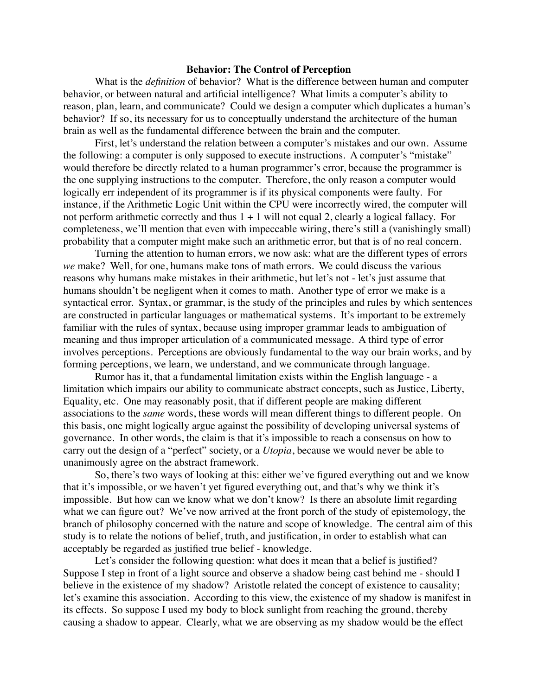## **Behavior: The Control of Perception**

What is the *definition* of behavior? What is the difference between human and computer behavior, or between natural and artificial intelligence? What limits a computer's ability to reason, plan, learn, and communicate? Could we design a computer which duplicates a human's behavior? If so, its necessary for us to conceptually understand the architecture of the human brain as well as the fundamental difference between the brain and the computer.

First, let's understand the relation between a computer's mistakes and our own. Assume the following: a computer is only supposed to execute instructions. A computer's "mistake" would therefore be directly related to a human programmer's error, because the programmer is the one supplying instructions to the computer. Therefore, the only reason a computer would logically err independent of its programmer is if its physical components were faulty. For instance, if the Arithmetic Logic Unit within the CPU were incorrectly wired, the computer will not perform arithmetic correctly and thus  $1 + 1$  will not equal 2, clearly a logical fallacy. For completeness, we'll mention that even with impeccable wiring, there's still a (vanishingly small) probability that a computer might make such an arithmetic error, but that is of no real concern.

Turning the attention to human errors, we now ask: what are the different types of errors *we* make? Well, for one, humans make tons of math errors. We could discuss the various reasons why humans make mistakes in their arithmetic, but let's not - let's just assume that humans shouldn't be negligent when it comes to math. Another type of error we make is a syntactical error. Syntax, or grammar, is the study of the principles and rules by which sentences are constructed in particular languages or mathematical systems. It's important to be extremely familiar with the rules of syntax, because using improper grammar leads to ambiguation of meaning and thus improper articulation of a communicated message. A third type of error involves perceptions. Perceptions are obviously fundamental to the way our brain works, and by forming perceptions, we learn, we understand, and we communicate through language.

Rumor has it, that a fundamental limitation exists within the English language - a limitation which impairs our ability to communicate abstract concepts, such as Justice, Liberty, Equality, etc. One may reasonably posit, that if different people are making different associations to the *same* words, these words will mean different things to different people. On this basis, one might logically argue against the possibility of developing universal systems of governance. In other words, the claim is that it's impossible to reach a consensus on how to carry out the design of a "perfect" society, or a *Utopia*, because we would never be able to unanimously agree on the abstract framework.

So, there's two ways of looking at this: either we've figured everything out and we know that it's impossible, or we haven't yet figured everything out, and that's why we think it's impossible. But how can we know what we don't know? Is there an absolute limit regarding what we can figure out? We've now arrived at the front porch of the study of epistemology, the branch of philosophy concerned with the nature and scope of knowledge. The central aim of this study is to relate the notions of belief, truth, and justification, in order to establish what can acceptably be regarded as justified true belief - knowledge.

Let's consider the following question: what does it mean that a belief is justified? Suppose I step in front of a light source and observe a shadow being cast behind me - should I believe in the existence of my shadow? Aristotle related the concept of existence to causality; let's examine this association. According to this view, the existence of my shadow is manifest in its effects. So suppose I used my body to block sunlight from reaching the ground, thereby causing a shadow to appear. Clearly, what we are observing as my shadow would be the effect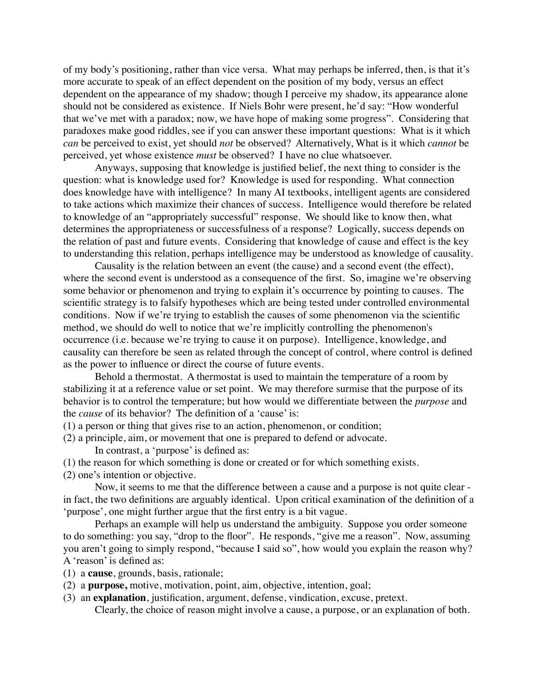of my body's positioning, rather than vice versa. What may perhaps be inferred, then, is that it's more accurate to speak of an effect dependent on the position of my body, versus an effect dependent on the appearance of my shadow; though I perceive my shadow, its appearance alone should not be considered as existence. If Niels Bohr were present, he'd say: "How wonderful that we've met with a paradox; now, we have hope of making some progress". Considering that paradoxes make good riddles, see if you can answer these important questions: What is it which *can* be perceived to exist, yet should *not* be observed? Alternatively, What is it which *cannot* be perceived, yet whose existence *must* be observed? I have no clue whatsoever.

Anyways, supposing that knowledge is justified belief, the next thing to consider is the question: what is knowledge used for? Knowledge is used for responding. What connection does knowledge have with intelligence? In many AI textbooks, intelligent agents are considered to take actions which maximize their chances of success. Intelligence would therefore be related to knowledge of an "appropriately successful" response. We should like to know then, what determines the appropriateness or successfulness of a response? Logically, success depends on the relation of past and future events. Considering that knowledge of cause and effect is the key to understanding this relation, perhaps intelligence may be understood as knowledge of causality.

Causality is the relation between an event (the cause) and a second event (the effect), where the second event is understood as a consequence of the first. So, imagine we're observing some behavior or phenomenon and trying to explain it's occurrence by pointing to causes. The scientific strategy is to falsify hypotheses which are being tested under controlled environmental conditions. Now if we're trying to establish the causes of some phenomenon via the scientific method, we should do well to notice that we're implicitly controlling the phenomenon's occurrence (i.e. because we're trying to cause it on purpose). Intelligence, knowledge, and causality can therefore be seen as related through the concept of control, where control is defined as the power to influence or direct the course of future events.

Behold a thermostat. A thermostat is used to maintain the temperature of a room by stabilizing it at a reference value or set point. We may therefore surmise that the purpose of its behavior is to control the temperature; but how would we differentiate between the *purpose* and the *cause* of its behavior? The definition of a 'cause' is:

- (1) a person or thing that gives rise to an action, phenomenon, or condition;
- (2) a principle, aim, or movement that one is prepared to defend or advocate.

In contrast, a 'purpose' is defined as:

- (1) the reason for which something is done or created or for which something exists.
- (2) one's intention or objective.

Now, it seems to me that the difference between a cause and a purpose is not quite clear in fact, the two definitions are arguably identical. Upon critical examination of the definition of a 'purpose', one might further argue that the first entry is a bit vague.

Perhaps an example will help us understand the ambiguity. Suppose you order someone to do something: you say, "drop to the floor". He responds, "give me a reason". Now, assuming you aren't going to simply respond, "because I said so", how would you explain the reason why? A 'reason' is defined as:

- (1) a **cause**, grounds, basis, rationale;
- (2) a **purpose,** motive, motivation, point, aim, objective, intention, goal;
- (3) an **explanation**, justification, argument, defense, vindication, excuse, pretext.

Clearly, the choice of reason might involve a cause, a purpose, or an explanation of both.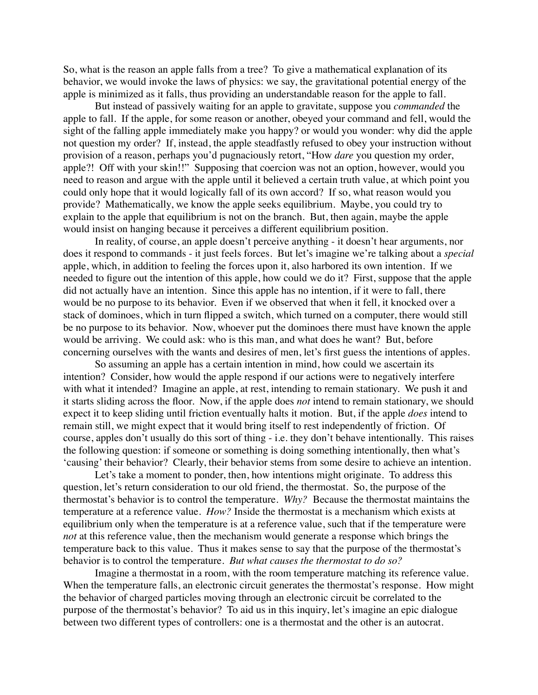So, what is the reason an apple falls from a tree? To give a mathematical explanation of its behavior, we would invoke the laws of physics: we say, the gravitational potential energy of the apple is minimized as it falls, thus providing an understandable reason for the apple to fall.

But instead of passively waiting for an apple to gravitate, suppose you *commanded* the apple to fall. If the apple, for some reason or another, obeyed your command and fell, would the sight of the falling apple immediately make you happy? or would you wonder: why did the apple not question my order? If, instead, the apple steadfastly refused to obey your instruction without provision of a reason, perhaps you'd pugnaciously retort, "How *dare* you question my order, apple?! Off with your skin!!" Supposing that coercion was not an option, however, would you need to reason and argue with the apple until it believed a certain truth value, at which point you could only hope that it would logically fall of its own accord? If so, what reason would you provide? Mathematically, we know the apple seeks equilibrium. Maybe, you could try to explain to the apple that equilibrium is not on the branch. But, then again, maybe the apple would insist on hanging because it perceives a different equilibrium position.

In reality, of course, an apple doesn't perceive anything - it doesn't hear arguments, nor does it respond to commands - it just feels forces. But let's imagine we're talking about a *special* apple, which, in addition to feeling the forces upon it, also harbored its own intention. If we needed to figure out the intention of this apple, how could we do it? First, suppose that the apple did not actually have an intention. Since this apple has no intention, if it were to fall, there would be no purpose to its behavior. Even if we observed that when it fell, it knocked over a stack of dominoes, which in turn flipped a switch, which turned on a computer, there would still be no purpose to its behavior. Now, whoever put the dominoes there must have known the apple would be arriving. We could ask: who is this man, and what does he want? But, before concerning ourselves with the wants and desires of men, let's first guess the intentions of apples.

So assuming an apple has a certain intention in mind, how could we ascertain its intention? Consider, how would the apple respond if our actions were to negatively interfere with what it intended? Imagine an apple, at rest, intending to remain stationary. We push it and it starts sliding across the floor. Now, if the apple does *not* intend to remain stationary, we should expect it to keep sliding until friction eventually halts it motion. But, if the apple *does* intend to remain still, we might expect that it would bring itself to rest independently of friction. Of course, apples don't usually do this sort of thing - i.e. they don't behave intentionally. This raises the following question: if someone or something is doing something intentionally, then what's 'causing' their behavior? Clearly, their behavior stems from some desire to achieve an intention.

Let's take a moment to ponder, then, how intentions might originate. To address this question, let's return consideration to our old friend, the thermostat. So, the purpose of the thermostat's behavior is to control the temperature. *Why?* Because the thermostat maintains the temperature at a reference value. *How?* Inside the thermostat is a mechanism which exists at equilibrium only when the temperature is at a reference value, such that if the temperature were *not* at this reference value, then the mechanism would generate a response which brings the temperature back to this value. Thus it makes sense to say that the purpose of the thermostat's behavior is to control the temperature. *But what causes the thermostat to do so?*

Imagine a thermostat in a room, with the room temperature matching its reference value. When the temperature falls, an electronic circuit generates the thermostat's response. How might the behavior of charged particles moving through an electronic circuit be correlated to the purpose of the thermostat's behavior? To aid us in this inquiry, let's imagine an epic dialogue between two different types of controllers: one is a thermostat and the other is an autocrat.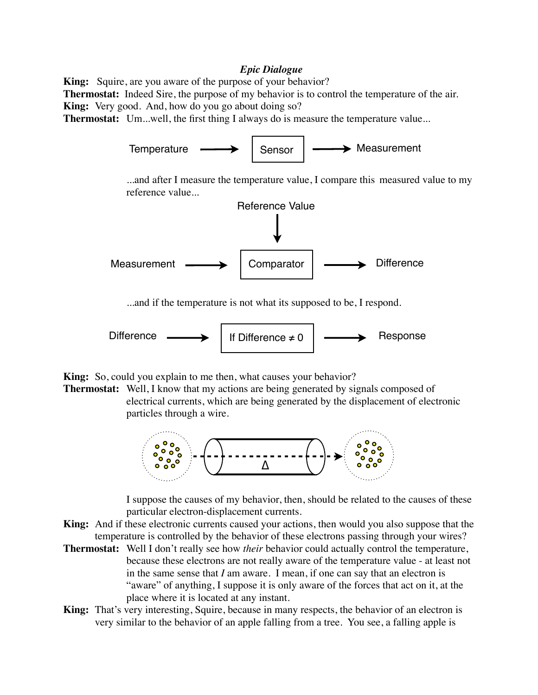## *Epic Dialogue*

**King:** Squire, are you aware of the purpose of your behavior? **Thermostat:** Indeed Sire, the purpose of my behavior is to control the temperature of the air. **King:** Very good. And, how do you go about doing so?

**Thermostat:** Um...well, the first thing I always do is measure the temperature value...



 ...and after I measure the temperature value, I compare this measured value to my reference value...



 ...and if the temperature is not what its supposed to be, I respond.



**King:** So, could you explain to me then, what causes your behavior?

**Thermostat:** Well, I know that my actions are being generated by signals composed of electrical currents, which are being generated by the displacement of electronic particles through a wire.



 I suppose the causes of my behavior, then, should be related to the causes of these particular electron-displacement currents.

- **King:** And if these electronic currents caused your actions, then would you also suppose that the temperature is controlled by the behavior of these electrons passing through your wires?
- **Thermostat:** Well I don't really see how *their* behavior could actually control the temperature, because these electrons are not really aware of the temperature value - at least not in the same sense that *I* am aware. I mean, if one can say that an electron is "aware" of anything, I suppose it is only aware of the forces that act on it, at the place where it is located at any instant.
- **King:** That's very interesting, Squire, because in many respects, the behavior of an electron is very similar to the behavior of an apple falling from a tree. You see, a falling apple is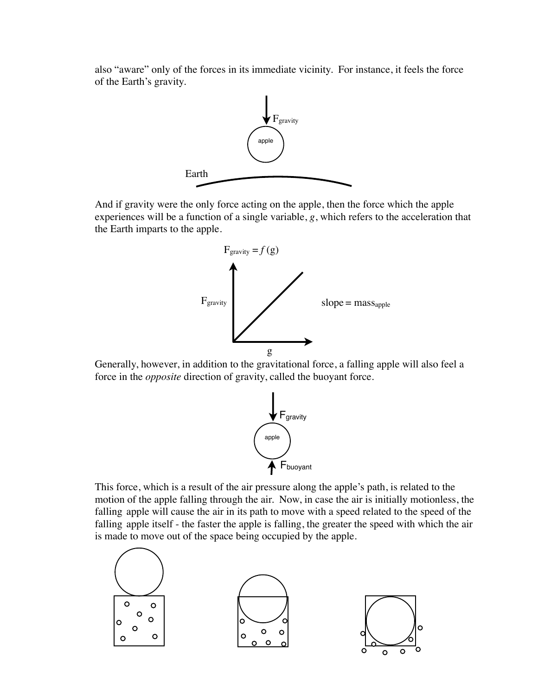also "aware" only of the forces in its immediate vicinity. For instance, it feels the force of the Earth's gravity.



And if gravity were the only force acting on the apple, then the force which the apple experiences will be a function of a single variable, *g*, which refers to the acceleration that the Earth imparts to the apple.



Generally, however, in addition to the gravitational force, a falling apple will also feel a force in the *opposite* direction of gravity, called the buoyant force.



This force, which is a result of the air pressure along the apple's path, is related to the motion of the apple falling through the air. Now, in case the air is initially motionless, the falling apple will cause the air in its path to move with a speed related to the speed of the falling apple itself - the faster the apple is falling, the greater the speed with which the air is made to move out of the space being occupied by the apple.

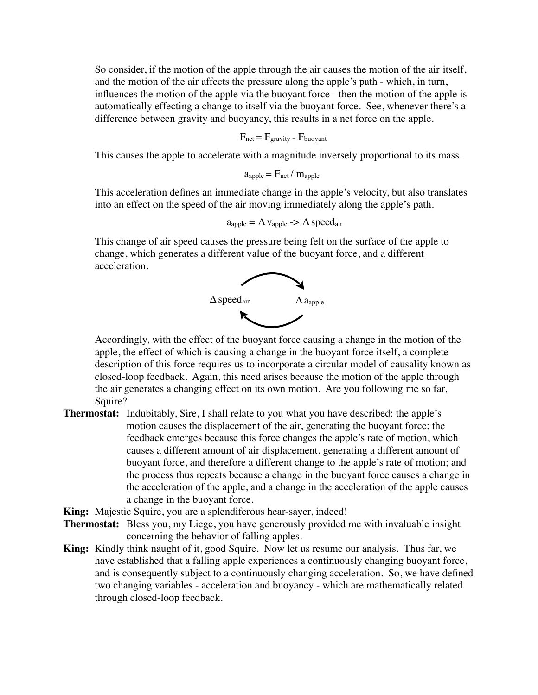So consider, if the motion of the apple through the air causes the motion of the air itself, and the motion of the air affects the pressure along the apple's path - which, in turn, influences the motion of the apple via the buoyant force - then the motion of the apple is automatically effecting a change to itself via the buoyant force. See, whenever there's a difference between gravity and buoyancy, this results in a net force on the apple.

$$
F_{net} = F_{gravity} - F_{buoyant}
$$

This causes the apple to accelerate with a magnitude inversely proportional to its mass.

$$
a_{apple} = F_{net} / m_{apple}
$$

This acceleration defines an immediate change in the apple's velocity, but also translates into an effect on the speed of the air moving immediately along the apple's path.

$$
a_{\rm apple} = \Delta\,{\rm v}_{\rm apple} \to \Delta\,{\rm speed}_{\rm air}
$$

This change of air speed causes the pressure being felt on the surface of the apple to change, which generates a different value of the buoyant force, and a different acceleration.



Accordingly, with the effect of the buoyant force causing a change in the motion of the apple, the effect of which is causing a change in the buoyant force itself, a complete description of this force requires us to incorporate a circular model of causality known as closed-loop feedback. Again, this need arises because the motion of the apple through the air generates a changing effect on its own motion. Are you following me so far, Squire?

**Thermostat:** Indubitably, Sire, I shall relate to you what you have described: the apple's motion causes the displacement of the air, generating the buoyant force; the feedback emerges because this force changes the apple's rate of motion, which causes a different amount of air displacement, generating a different amount of buoyant force, and therefore a different change to the apple's rate of motion; and the process thus repeats because a change in the buoyant force causes a change in the acceleration of the apple, and a change in the acceleration of the apple causes a change in the buoyant force.

**King:** Majestic Squire, you are a splendiferous hear-sayer, indeed!

- **Thermostat:** Bless you, my Liege, you have generously provided me with invaluable insight concerning the behavior of falling apples.
- **King:** Kindly think naught of it, good Squire. Now let us resume our analysis. Thus far, we have established that a falling apple experiences a continuously changing buoyant force, and is consequently subject to a continuously changing acceleration. So, we have defined two changing variables - acceleration and buoyancy - which are mathematically related through closed-loop feedback.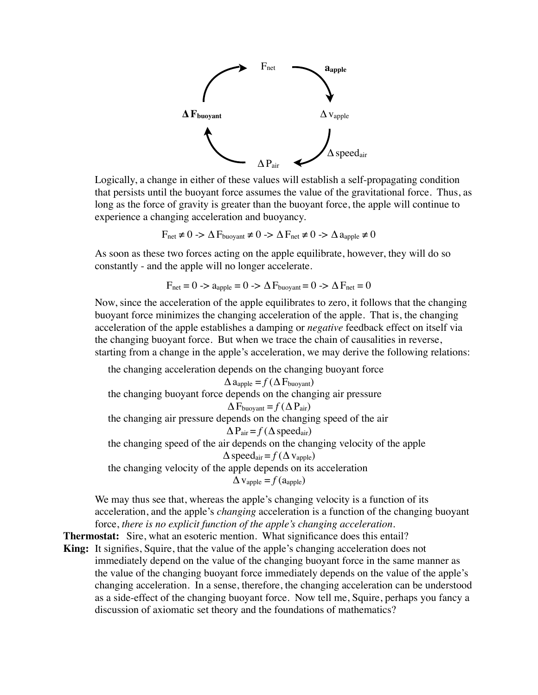

Logically, a change in either of these values will establish a self-propagating condition that persists until the buoyant force assumes the value of the gravitational force. Thus, as long as the force of gravity is greater than the buoyant force, the apple will continue to experience a changing acceleration and buoyancy.

$$
F_{net} \neq 0 \Rightarrow \Delta F_{buoyant} \neq 0 \Rightarrow \Delta F_{net} \neq 0 \Rightarrow \Delta a_{apple} \neq 0
$$

As soon as these two forces acting on the apple equilibrate, however, they will do so constantly - and the apple will no longer accelerate.

$$
F_{\text{net}} = 0 \rightarrow a_{\text{apple}} = 0 \rightarrow \Delta F_{\text{buoyant}} = 0 \rightarrow \Delta F_{\text{net}} = 0
$$

Now, since the acceleration of the apple equilibrates to zero, it follows that the changing buoyant force minimizes the changing acceleration of the apple. That is, the changing acceleration of the apple establishes a damping or *negative* feedback effect on itself via the changing buoyant force. But when we trace the chain of causalities in reverse, starting from a change in the apple's acceleration, we may derive the following relations:

the changing acceleration depends on the changing buoyant force

 $\Delta$  a<sub>apple</sub> =  $f$  ( $\Delta$  F<sub>buoyant</sub>) the changing buoyant force depends on the changing air pressure  $\Delta F_{\text{buoyant}} = f(\Delta P_{\text{air}})$ the changing air pressure depends on the changing speed of the air  $\Delta P_{\text{air}} = f(\Delta \text{ speed}_{\text{air}})$ the changing speed of the air depends on the changing velocity of the apple  $\Delta$  speed<sub>air</sub> =  $f(\Delta v_{\text{apple}})$ the changing velocity of the apple depends on its acceleration  $\Delta$  V<sub>apple</sub> =  $f$  (a<sub>apple</sub>)

We may thus see that, whereas the apple's changing velocity is a function of its acceleration, and the apple's *changing* acceleration is a function of the changing buoyant force, *there is no explicit function of the apple's changing acceleration*.

**Thermostat:** Sire, what an esoteric mention. What significance does this entail?

**King:** It signifies, Squire, that the value of the apple's changing acceleration does not immediately depend on the value of the changing buoyant force in the same manner as the value of the changing buoyant force immediately depends on the value of the apple's changing acceleration. In a sense, therefore, the changing acceleration can be understood as a side-effect of the changing buoyant force. Now tell me, Squire, perhaps you fancy a discussion of axiomatic set theory and the foundations of mathematics?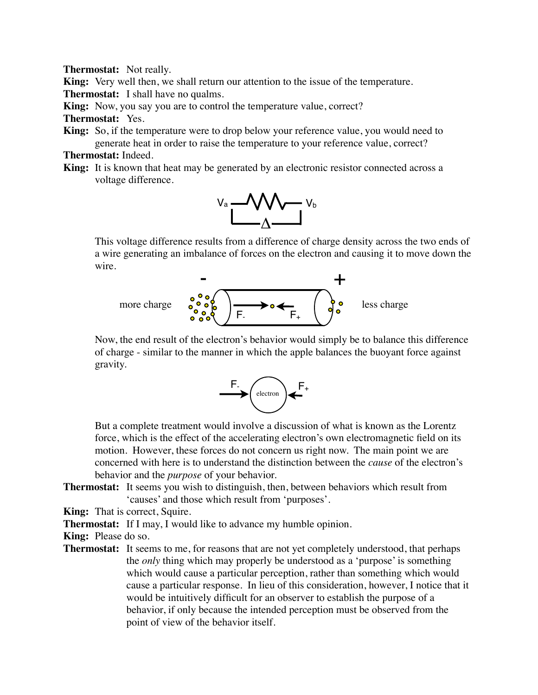**Thermostat:** Not really.

**King:** Very well then, we shall return our attention to the issue of the temperature.

**Thermostat:** I shall have no qualms.

**King:** Now, you say you are to control the temperature value, correct?

**Thermostat:** Yes.

**King:** So, if the temperature were to drop below your reference value, you would need to generate heat in order to raise the temperature to your reference value, correct?

**Thermostat:** Indeed.

**King:** It is known that heat may be generated by an electronic resistor connected across a voltage difference.



This voltage difference results from a difference of charge density across the two ends of a wire generating an imbalance of forces on the electron and causing it to move down the wire.



Now, the end result of the electron's behavior would simply be to balance this difference of charge - similar to the manner in which the apple balances the buoyant force against gravity.



But a complete treatment would involve a discussion of what is known as the Lorentz force, which is the effect of the accelerating electron's own electromagnetic field on its motion. However, these forces do not concern us right now. The main point we are concerned with here is to understand the distinction between the *cause* of the electron's behavior and the *purpose* of your behavior.

**Thermostat:** It seems you wish to distinguish, then, between behaviors which result from 'causes' and those which result from 'purposes'.

**King:** That is correct, Squire.

**Thermostat:** If I may, I would like to advance my humble opinion.

**King:** Please do so.

**Thermostat:** It seems to me, for reasons that are not yet completely understood, that perhaps the *only* thing which may properly be understood as a 'purpose' is something which would cause a particular perception, rather than something which would cause a particular response. In lieu of this consideration, however, I notice that it would be intuitively difficult for an observer to establish the purpose of a behavior, if only because the intended perception must be observed from the point of view of the behavior itself.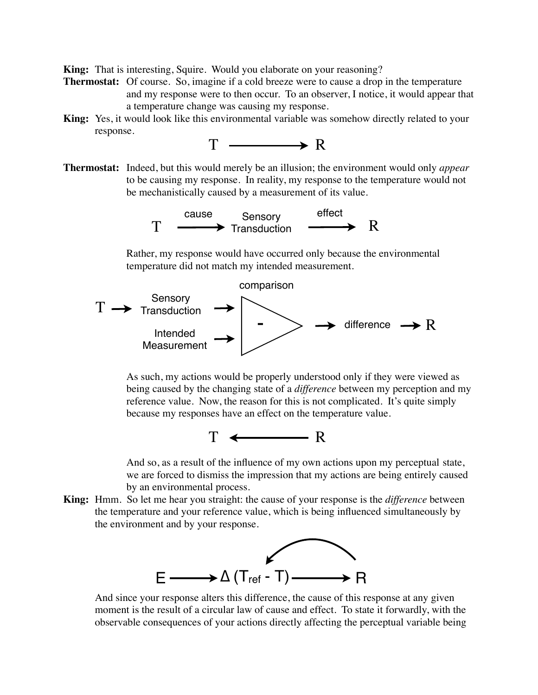**King:** That is interesting, Squire. Would you elaborate on your reasoning?

- **Thermostat:** Of course. So, imagine if a cold breeze were to cause a drop in the temperature and my response were to then occur. To an observer, I notice, it would appear that a temperature change was causing my response.
- **King:** Yes, it would look like this environmental variable was somehow directly related to your response.



**Thermostat:** Indeed, but this would merely be an illusion; the environment would only *appear*  to be causing my response. In reality, my response to the temperature would not be mechanistically caused by a measurement of its value.



 Rather, my response would have occurred only because the environmental temperature did not match my intended measurement.



 As such, my actions would be properly understood only if they were viewed as being caused by the changing state of a *difference* between my perception and my reference value. Now, the reason for this is not complicated. It's quite simply because my responses have an effect on the temperature value.



 And so, as a result of the influence of my own actions upon my perceptual state, we are forced to dismiss the impression that my actions are being entirely caused by an environmental process.

**King:** Hmm. So let me hear you straight: the cause of your response is the *difference* between the temperature and your reference value, which is being influenced simultaneously by the environment and by your response.



And since your response alters this difference, the cause of this response at any given moment is the result of a circular law of cause and effect. To state it forwardly, with the observable consequences of your actions directly affecting the perceptual variable being